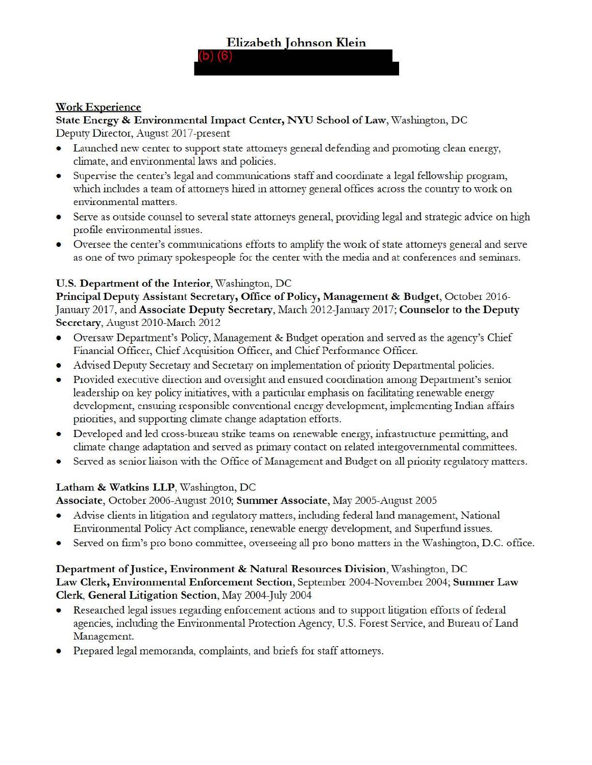# **Work Experience**

**State Energy** & **Environmental Impact Center, NYU School of Law,** \Vashington, DC Deputy Director, August 2017-present

- Launched new center to support state attorneys general defending and promoting clean energy, climate, and environmental laws and policies.
- Supervise the center's legal and communications staff and coordinate a legal fellowship program, which includes a team of attorneys hired in attorney general offices across the country to work on environmental matters.
- Serve as outside counsel to several state attorneys general, providing legal and strategic advice on high profile environmental issues.
- Oversee the center's communications efforts to amplify the work of state attorneys general and serve as one of two primaiy spokespeople for the center with the media and at conferences and seminars.

# **U.S. Department of the Interior,** Washington, DC

**Principal Deputy Assistant Secretary, Office of Policy, Management** & **Budget,** October 2016- Januaiy 2017, and **Associate Deputy Secretary,** March 2012-January 2017; **Counselor to the Deputy Secretary,** August 2010-March 2012

- Oversaw Department's Policy, Management & Budget operation and served as the agency's Chief Financial Officer, Chief Acquisition Officer, and Chief Performance Officer.
- Advised Deputy Secretary and Secretary on implementation of priority Departmental policies.
- Provided executive direction and oversight and ensured coordination among Department's senior leadership on key policy initiatives, with a particular emphasis on facilitating renewable energy development, ensuring responsible conventional energy development, implementing Indian affairs priorities, and supporting climate change adaptation efforts.
- Developed and led cross-bureau strike teams on renewable energy, infrastructure permitting, and climate change adaptation and served as primary contact on related intergovernmental committees.
- Served as senior liaison with the Office of Management and Budget on all priority regulatory matters.

# Latham & Watkins LLP, Washington, DC

**Associate,** October 2006-August 201 O; **Summer Associate,** May 2005-August 2005

- Advise clients in litigation and regulatory matters, including federal land management, National Environmental Policy Act compliance, renewable energy development, and Superfund issues.
- Served on firm's pro bono committee, overseeing all pro bono matters in the Washington, D.C. office.

# **Department of Justice, Environment** & **Natural Resources Division,** \Vashington, DC **Law Clerk, Environmental Enforcement Section,** September 2004-November 2004; **Summer Law Clerk, General Litigation Section,** May 2004-July 2004

- Researched legal issues regarding enforcement actions and to support litigation efforts of federal agencies, including die Environmental Protection Agency, U.S. Forest Service, and Bureau of Land Management.
- Prepared legal memoranda, complaints, and briefs for staff attorneys.